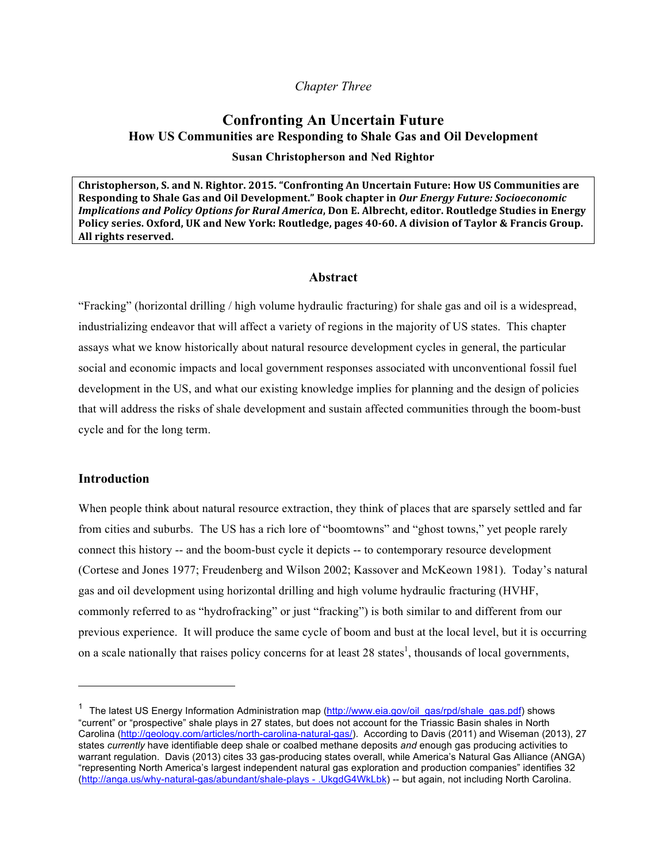## *Chapter Three*

# **Confronting An Uncertain Future How US Communities are Responding to Shale Gas and Oil Development**

### **Susan Christopherson and Ned Rightor**

Christopherson, S. and N. Rightor. 2015. "Confronting An Uncertain Future: How US Communities are Responding to Shale Gas and Oil Development." Book chapter in Our Energy Future: Socioeconomic *Implications and Policy Options for Rural America*, Don E. Albrecht, editor. Routledge Studies in Energy **Policy series. Oxford, UK and New York: Routledge, pages 40-60. A division of Taylor & Francis Group.** All rights reserved.

## **Abstract**

"Fracking" (horizontal drilling / high volume hydraulic fracturing) for shale gas and oil is a widespread, industrializing endeavor that will affect a variety of regions in the majority of US states. This chapter assays what we know historically about natural resource development cycles in general, the particular social and economic impacts and local government responses associated with unconventional fossil fuel development in the US, and what our existing knowledge implies for planning and the design of policies that will address the risks of shale development and sustain affected communities through the boom-bust cycle and for the long term.

## **Introduction**

!!!!!!!!!!!!!!!!!!!!!!!!!!!!!!!!!!!!!!!!!!!!!!!!!!!!!!!

When people think about natural resource extraction, they think of places that are sparsely settled and far from cities and suburbs. The US has a rich lore of "boomtowns" and "ghost towns," yet people rarely connect this history -- and the boom-bust cycle it depicts -- to contemporary resource development (Cortese and Jones 1977; Freudenberg and Wilson 2002; Kassover and McKeown 1981). Today's natural gas and oil development using horizontal drilling and high volume hydraulic fracturing (HVHF, commonly referred to as "hydrofracking" or just "fracking") is both similar to and different from our previous experience. It will produce the same cycle of boom and bust at the local level, but it is occurring on a scale nationally that raises policy concerns for at least  $28$  states<sup>1</sup>, thousands of local governments,

<sup>&</sup>lt;sup>1</sup> The latest US Energy Information Administration map (http://www.eia.gov/oil\_gas/rpd/shale\_gas.pdf) shows "current" or "prospective" shale plays in 27 states, but does not account for the Triassic Basin shales in North Carolina (http://geology.com/articles/north-carolina-natural-gas/). According to Davis (2011) and Wiseman (2013), 27 states *currently* have identifiable deep shale or coalbed methane deposits *and* enough gas producing activities to warrant regulation. Davis (2013) cites 33 gas-producing states overall, while America's Natural Gas Alliance (ANGA) "representing North America's largest independent natural gas exploration and production companies" identifies 32 (http://anga.us/why-natural-gas/abundant/shale-plays - .UkgdG4WkLbk) -- but again, not including North Carolina.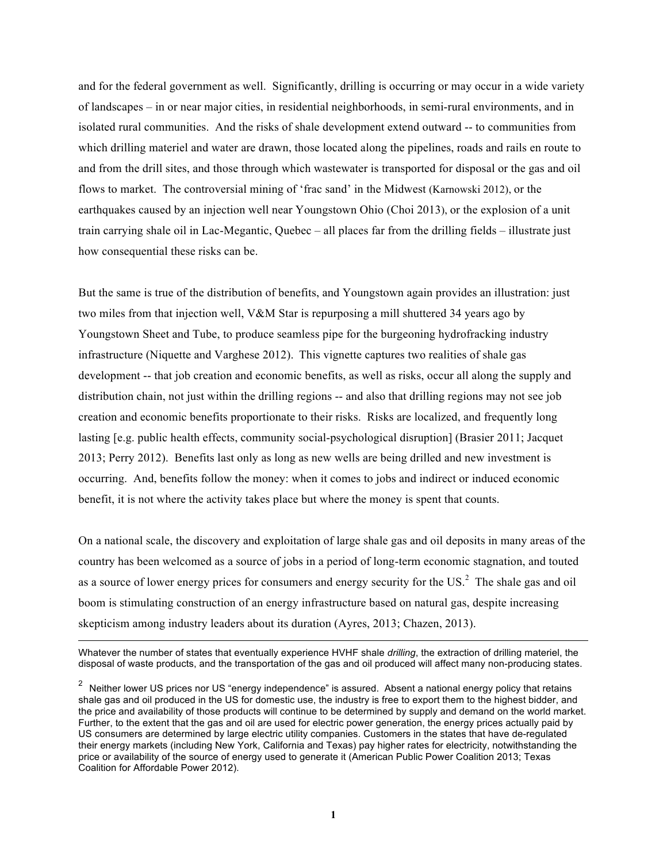and for the federal government as well. Significantly, drilling is occurring or may occur in a wide variety of landscapes – in or near major cities, in residential neighborhoods, in semi-rural environments, and in isolated rural communities. And the risks of shale development extend outward -- to communities from which drilling materiel and water are drawn, those located along the pipelines, roads and rails en route to and from the drill sites, and those through which wastewater is transported for disposal or the gas and oil flows to market. The controversial mining of 'frac sand' in the Midwest (Karnowski 2012), or the earthquakes caused by an injection well near Youngstown Ohio (Choi 2013), or the explosion of a unit train carrying shale oil in Lac-Megantic, Quebec – all places far from the drilling fields – illustrate just how consequential these risks can be.

But the same is true of the distribution of benefits, and Youngstown again provides an illustration: just two miles from that injection well, V&M Star is repurposing a mill shuttered 34 years ago by Youngstown Sheet and Tube, to produce seamless pipe for the burgeoning hydrofracking industry infrastructure (Niquette and Varghese 2012). This vignette captures two realities of shale gas development -- that job creation and economic benefits, as well as risks, occur all along the supply and distribution chain, not just within the drilling regions -- and also that drilling regions may not see job creation and economic benefits proportionate to their risks. Risks are localized, and frequently long lasting [e.g. public health effects, community social-psychological disruption] (Brasier 2011; Jacquet 2013; Perry 2012). Benefits last only as long as new wells are being drilled and new investment is occurring. And, benefits follow the money: when it comes to jobs and indirect or induced economic benefit, it is not where the activity takes place but where the money is spent that counts.

On a national scale, the discovery and exploitation of large shale gas and oil deposits in many areas of the country has been welcomed as a source of jobs in a period of long-term economic stagnation, and touted as a source of lower energy prices for consumers and energy security for the US. $<sup>2</sup>$  The shale gas and oil</sup> boom is stimulating construction of an energy infrastructure based on natural gas, despite increasing skepticism among industry leaders about its duration (Ayres, 2013; Chazen, 2013).

!!!!!!!!!!!!!!!!!!!!!!!!!!!!!!!!!!!!!!!!!!!!!!!!!!!!!!!!!!!!!!!!!!!!!!!!!!!!!!!!!!!!!!!!!!!!!!!!!!!!!!!!!!!!!!!!!!!!!!!!!!!!!!!!!!!!!!!!!!!!!!!!!!!!!!!!!!!!!!!!!!!!!!!!!!!!!!!!!! Whatever the number of states that eventually experience HVHF shale *drilling*, the extraction of drilling materiel, the disposal of waste products, and the transportation of the gas and oil produced will affect many non-producing states.

 $2$  Neither lower US prices nor US "energy independence" is assured. Absent a national energy policy that retains shale gas and oil produced in the US for domestic use, the industry is free to export them to the highest bidder, and the price and availability of those products will continue to be determined by supply and demand on the world market. Further, to the extent that the gas and oil are used for electric power generation, the energy prices actually paid by US consumers are determined by large electric utility companies. Customers in the states that have de-regulated their energy markets (including New York, California and Texas) pay higher rates for electricity, notwithstanding the price or availability of the source of energy used to generate it (American Public Power Coalition 2013; Texas Coalition for Affordable Power 2012).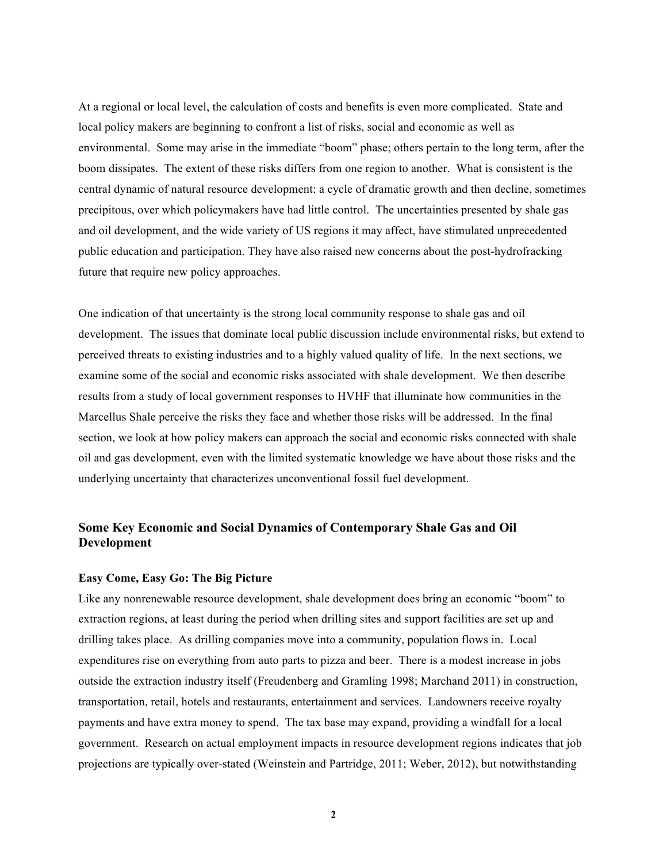At a regional or local level, the calculation of costs and benefits is even more complicated. State and local policy makers are beginning to confront a list of risks, social and economic as well as environmental. Some may arise in the immediate "boom" phase; others pertain to the long term, after the boom dissipates. The extent of these risks differs from one region to another. What is consistent is the central dynamic of natural resource development: a cycle of dramatic growth and then decline, sometimes precipitous, over which policymakers have had little control. The uncertainties presented by shale gas and oil development, and the wide variety of US regions it may affect, have stimulated unprecedented public education and participation. They have also raised new concerns about the post-hydrofracking future that require new policy approaches.

One indication of that uncertainty is the strong local community response to shale gas and oil development. The issues that dominate local public discussion include environmental risks, but extend to perceived threats to existing industries and to a highly valued quality of life. In the next sections, we examine some of the social and economic risks associated with shale development. We then describe results from a study of local government responses to HVHF that illuminate how communities in the Marcellus Shale perceive the risks they face and whether those risks will be addressed. In the final section, we look at how policy makers can approach the social and economic risks connected with shale oil and gas development, even with the limited systematic knowledge we have about those risks and the underlying uncertainty that characterizes unconventional fossil fuel development.

## **Some Key Economic and Social Dynamics of Contemporary Shale Gas and Oil Development**

#### **Easy Come, Easy Go: The Big Picture**

Like any nonrenewable resource development, shale development does bring an economic "boom" to extraction regions, at least during the period when drilling sites and support facilities are set up and drilling takes place. As drilling companies move into a community, population flows in. Local expenditures rise on everything from auto parts to pizza and beer. There is a modest increase in jobs outside the extraction industry itself (Freudenberg and Gramling 1998; Marchand 2011) in construction, transportation, retail, hotels and restaurants, entertainment and services. Landowners receive royalty payments and have extra money to spend. The tax base may expand, providing a windfall for a local government. Research on actual employment impacts in resource development regions indicates that job projections are typically over-stated (Weinstein and Partridge, 2011; Weber, 2012), but notwithstanding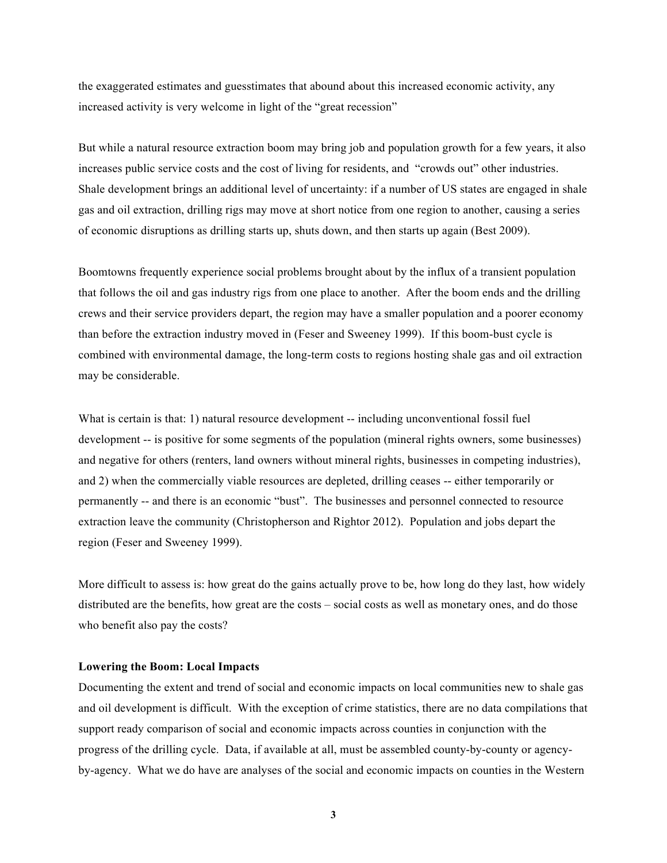the exaggerated estimates and guesstimates that abound about this increased economic activity, any increased activity is very welcome in light of the "great recession"

But while a natural resource extraction boom may bring job and population growth for a few years, it also increases public service costs and the cost of living for residents, and "crowds out" other industries. Shale development brings an additional level of uncertainty: if a number of US states are engaged in shale gas and oil extraction, drilling rigs may move at short notice from one region to another, causing a series of economic disruptions as drilling starts up, shuts down, and then starts up again (Best 2009).

Boomtowns frequently experience social problems brought about by the influx of a transient population that follows the oil and gas industry rigs from one place to another. After the boom ends and the drilling crews and their service providers depart, the region may have a smaller population and a poorer economy than before the extraction industry moved in (Feser and Sweeney 1999). If this boom-bust cycle is combined with environmental damage, the long-term costs to regions hosting shale gas and oil extraction may be considerable.

What is certain is that: 1) natural resource development -- including unconventional fossil fuel development -- is positive for some segments of the population (mineral rights owners, some businesses) and negative for others (renters, land owners without mineral rights, businesses in competing industries), and 2) when the commercially viable resources are depleted, drilling ceases -- either temporarily or permanently -- and there is an economic "bust". The businesses and personnel connected to resource extraction leave the community (Christopherson and Rightor 2012). Population and jobs depart the region (Feser and Sweeney 1999).

More difficult to assess is: how great do the gains actually prove to be, how long do they last, how widely distributed are the benefits, how great are the costs – social costs as well as monetary ones, and do those who benefit also pay the costs?

#### **Lowering the Boom: Local Impacts**

Documenting the extent and trend of social and economic impacts on local communities new to shale gas and oil development is difficult. With the exception of crime statistics, there are no data compilations that support ready comparison of social and economic impacts across counties in conjunction with the progress of the drilling cycle. Data, if available at all, must be assembled county-by-county or agencyby-agency. What we do have are analyses of the social and economic impacts on counties in the Western

**3**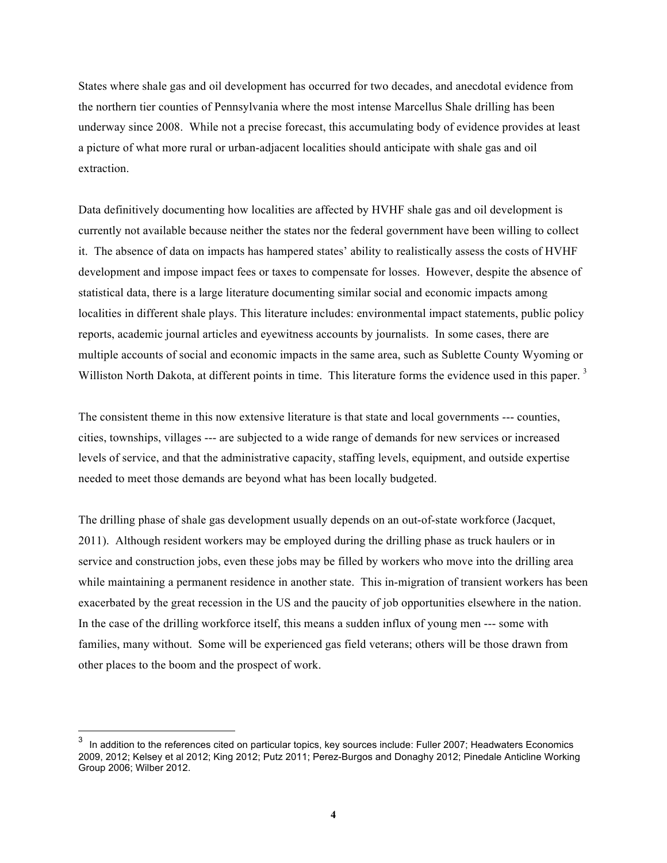States where shale gas and oil development has occurred for two decades, and anecdotal evidence from the northern tier counties of Pennsylvania where the most intense Marcellus Shale drilling has been underway since 2008. While not a precise forecast, this accumulating body of evidence provides at least a picture of what more rural or urban-adjacent localities should anticipate with shale gas and oil extraction.

Data definitively documenting how localities are affected by HVHF shale gas and oil development is currently not available because neither the states nor the federal government have been willing to collect it. The absence of data on impacts has hampered states' ability to realistically assess the costs of HVHF development and impose impact fees or taxes to compensate for losses. However, despite the absence of statistical data, there is a large literature documenting similar social and economic impacts among localities in different shale plays. This literature includes: environmental impact statements, public policy reports, academic journal articles and eyewitness accounts by journalists. In some cases, there are multiple accounts of social and economic impacts in the same area, such as Sublette County Wyoming or Williston North Dakota, at different points in time. This literature forms the evidence used in this paper.<sup>3</sup>

The consistent theme in this now extensive literature is that state and local governments --- counties, cities, townships, villages --- are subjected to a wide range of demands for new services or increased levels of service, and that the administrative capacity, staffing levels, equipment, and outside expertise needed to meet those demands are beyond what has been locally budgeted.

The drilling phase of shale gas development usually depends on an out-of-state workforce (Jacquet, 2011). Although resident workers may be employed during the drilling phase as truck haulers or in service and construction jobs, even these jobs may be filled by workers who move into the drilling area while maintaining a permanent residence in another state. This in-migration of transient workers has been exacerbated by the great recession in the US and the paucity of job opportunities elsewhere in the nation. In the case of the drilling workforce itself, this means a sudden influx of young men --- some with families, many without. Some will be experienced gas field veterans; others will be those drawn from other places to the boom and the prospect of work.

!!!!!!!!!!!!!!!!!!!!!!!!!!!!!!!!!!!!!!!!!!!!!!!!!!!!!!!

 $^3$  In addition to the references cited on particular topics, key sources include: Fuller 2007; Headwaters Economics 2009, 2012; Kelsey et al 2012; King 2012; Putz 2011; Perez-Burgos and Donaghy 2012; Pinedale Anticline Working Group 2006; Wilber 2012.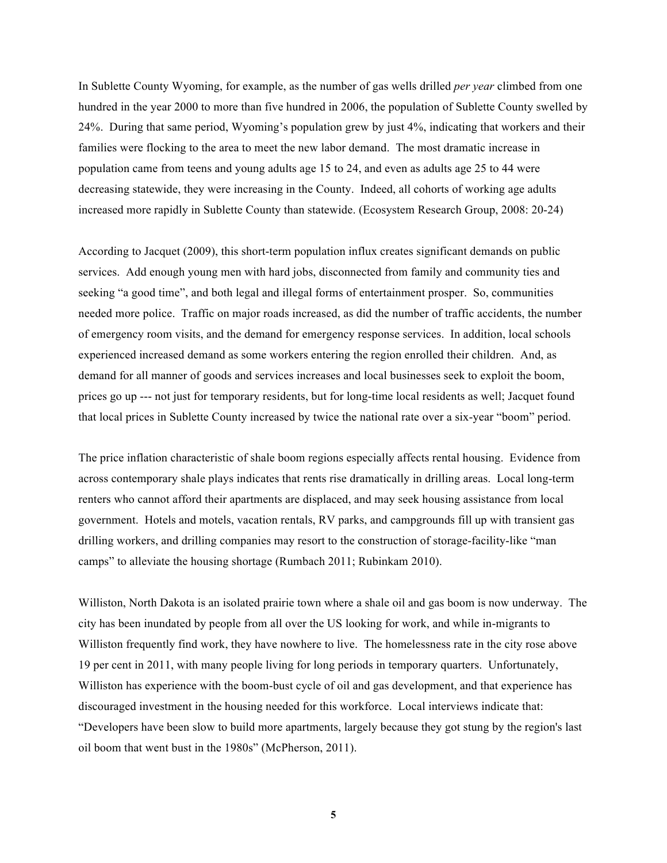In Sublette County Wyoming, for example, as the number of gas wells drilled *per year* climbed from one hundred in the year 2000 to more than five hundred in 2006, the population of Sublette County swelled by 24%. During that same period, Wyoming's population grew by just 4%, indicating that workers and their families were flocking to the area to meet the new labor demand. The most dramatic increase in population came from teens and young adults age 15 to 24, and even as adults age 25 to 44 were decreasing statewide, they were increasing in the County. Indeed, all cohorts of working age adults increased more rapidly in Sublette County than statewide. (Ecosystem Research Group, 2008: 20-24)

According to Jacquet (2009), this short-term population influx creates significant demands on public services. Add enough young men with hard jobs, disconnected from family and community ties and seeking "a good time", and both legal and illegal forms of entertainment prosper. So, communities needed more police. Traffic on major roads increased, as did the number of traffic accidents, the number of emergency room visits, and the demand for emergency response services. In addition, local schools experienced increased demand as some workers entering the region enrolled their children. And, as demand for all manner of goods and services increases and local businesses seek to exploit the boom, prices go up --- not just for temporary residents, but for long-time local residents as well; Jacquet found that local prices in Sublette County increased by twice the national rate over a six-year "boom" period.

The price inflation characteristic of shale boom regions especially affects rental housing. Evidence from across contemporary shale plays indicates that rents rise dramatically in drilling areas. Local long-term renters who cannot afford their apartments are displaced, and may seek housing assistance from local government. Hotels and motels, vacation rentals, RV parks, and campgrounds fill up with transient gas drilling workers, and drilling companies may resort to the construction of storage-facility-like "man camps" to alleviate the housing shortage (Rumbach 2011; Rubinkam 2010).

Williston, North Dakota is an isolated prairie town where a shale oil and gas boom is now underway. The city has been inundated by people from all over the US looking for work, and while in-migrants to Williston frequently find work, they have nowhere to live. The homelessness rate in the city rose above 19 per cent in 2011, with many people living for long periods in temporary quarters. Unfortunately, Williston has experience with the boom-bust cycle of oil and gas development, and that experience has discouraged investment in the housing needed for this workforce. Local interviews indicate that: "Developers have been slow to build more apartments, largely because they got stung by the region's last oil boom that went bust in the 1980s" (McPherson, 2011).

**5**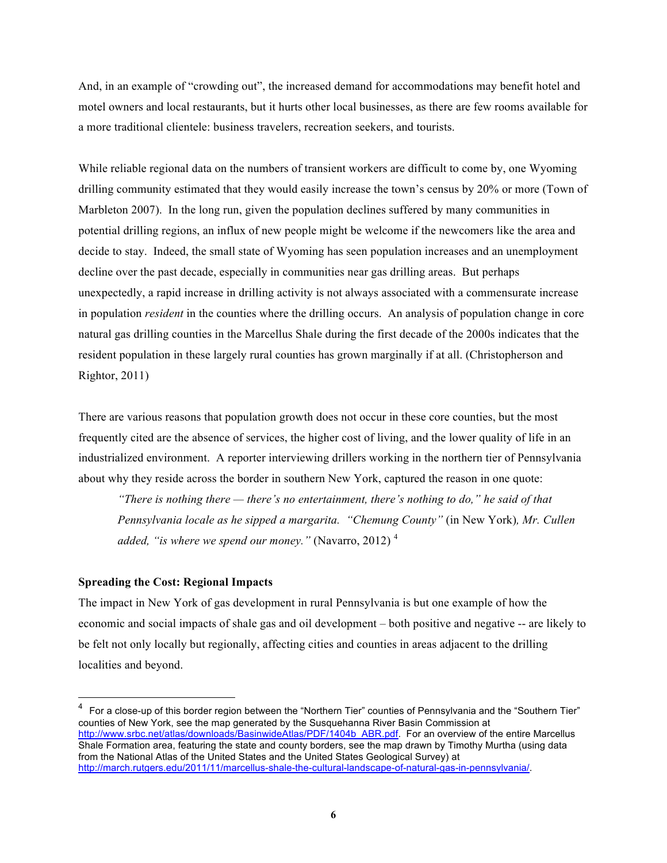And, in an example of "crowding out", the increased demand for accommodations may benefit hotel and motel owners and local restaurants, but it hurts other local businesses, as there are few rooms available for a more traditional clientele: business travelers, recreation seekers, and tourists.

While reliable regional data on the numbers of transient workers are difficult to come by, one Wyoming drilling community estimated that they would easily increase the town's census by 20% or more (Town of Marbleton 2007). In the long run, given the population declines suffered by many communities in potential drilling regions, an influx of new people might be welcome if the newcomers like the area and decide to stay. Indeed, the small state of Wyoming has seen population increases and an unemployment decline over the past decade, especially in communities near gas drilling areas. But perhaps unexpectedly, a rapid increase in drilling activity is not always associated with a commensurate increase in population *resident* in the counties where the drilling occurs. An analysis of population change in core natural gas drilling counties in the Marcellus Shale during the first decade of the 2000s indicates that the resident population in these largely rural counties has grown marginally if at all. (Christopherson and Rightor, 2011)

There are various reasons that population growth does not occur in these core counties, but the most frequently cited are the absence of services, the higher cost of living, and the lower quality of life in an industrialized environment. A reporter interviewing drillers working in the northern tier of Pennsylvania about why they reside across the border in southern New York, captured the reason in one quote:

*"There is nothing there — there's no entertainment, there's nothing to do," he said of that Pennsylvania locale as he sipped a margarita. "Chemung County"* (in New York)*, Mr. Cullen added, "is where we spend our money."* (Navarro, 2012) <sup>4</sup>

#### **Spreading the Cost: Regional Impacts**

!!!!!!!!!!!!!!!!!!!!!!!!!!!!!!!!!!!!!!!!!!!!!!!!!!!!!!!

The impact in New York of gas development in rural Pennsylvania is but one example of how the economic and social impacts of shale gas and oil development – both positive and negative -- are likely to be felt not only locally but regionally, affecting cities and counties in areas adjacent to the drilling localities and beyond.

<sup>4</sup> For a close-up of this border region between the "Northern Tier" counties of Pennsylvania and the "Southern Tier" counties of New York, see the map generated by the Susquehanna River Basin Commission at http://www.srbc.net/atlas/downloads/BasinwideAtlas/PDF/1404b\_ABR.pdf. For an overview of the entire Marcellus Shale Formation area, featuring the state and county borders, see the map drawn by Timothy Murtha (using data from the National Atlas of the United States and the United States Geological Survey) at http://march.rutgers.edu/2011/11/marcellus-shale-the-cultural-landscape-of-natural-gas-in-pennsylvania/.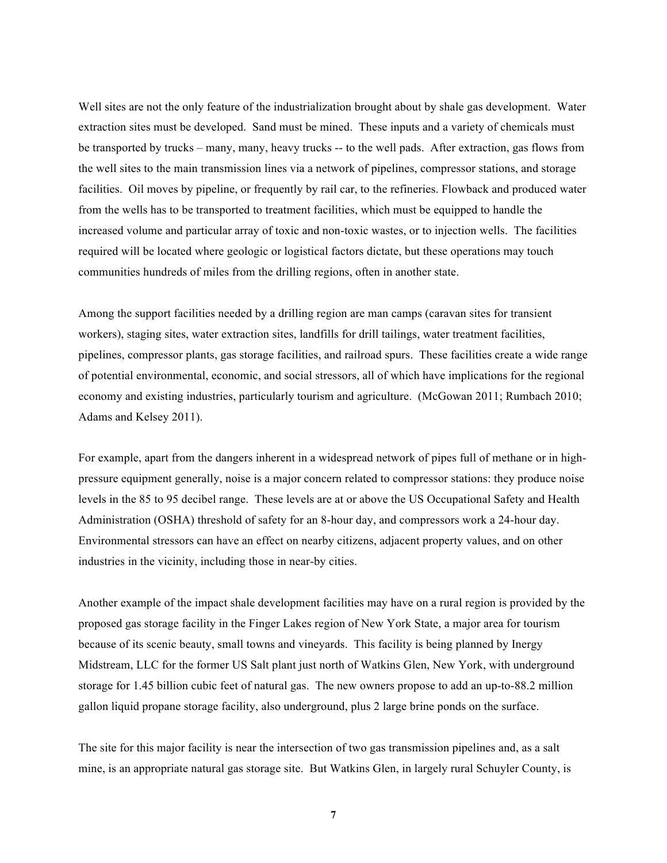Well sites are not the only feature of the industrialization brought about by shale gas development. Water extraction sites must be developed. Sand must be mined. These inputs and a variety of chemicals must be transported by trucks – many, many, heavy trucks -- to the well pads. After extraction, gas flows from the well sites to the main transmission lines via a network of pipelines, compressor stations, and storage facilities. Oil moves by pipeline, or frequently by rail car, to the refineries. Flowback and produced water from the wells has to be transported to treatment facilities, which must be equipped to handle the increased volume and particular array of toxic and non-toxic wastes, or to injection wells. The facilities required will be located where geologic or logistical factors dictate, but these operations may touch communities hundreds of miles from the drilling regions, often in another state.

Among the support facilities needed by a drilling region are man camps (caravan sites for transient workers), staging sites, water extraction sites, landfills for drill tailings, water treatment facilities, pipelines, compressor plants, gas storage facilities, and railroad spurs. These facilities create a wide range of potential environmental, economic, and social stressors, all of which have implications for the regional economy and existing industries, particularly tourism and agriculture. (McGowan 2011; Rumbach 2010; Adams and Kelsey 2011).

For example, apart from the dangers inherent in a widespread network of pipes full of methane or in highpressure equipment generally, noise is a major concern related to compressor stations: they produce noise levels in the 85 to 95 decibel range. These levels are at or above the US Occupational Safety and Health Administration (OSHA) threshold of safety for an 8-hour day, and compressors work a 24-hour day. Environmental stressors can have an effect on nearby citizens, adjacent property values, and on other industries in the vicinity, including those in near-by cities.

Another example of the impact shale development facilities may have on a rural region is provided by the proposed gas storage facility in the Finger Lakes region of New York State, a major area for tourism because of its scenic beauty, small towns and vineyards. This facility is being planned by Inergy Midstream, LLC for the former US Salt plant just north of Watkins Glen, New York, with underground storage for 1.45 billion cubic feet of natural gas. The new owners propose to add an up-to-88.2 million gallon liquid propane storage facility, also underground, plus 2 large brine ponds on the surface.

The site for this major facility is near the intersection of two gas transmission pipelines and, as a salt mine, is an appropriate natural gas storage site. But Watkins Glen, in largely rural Schuyler County, is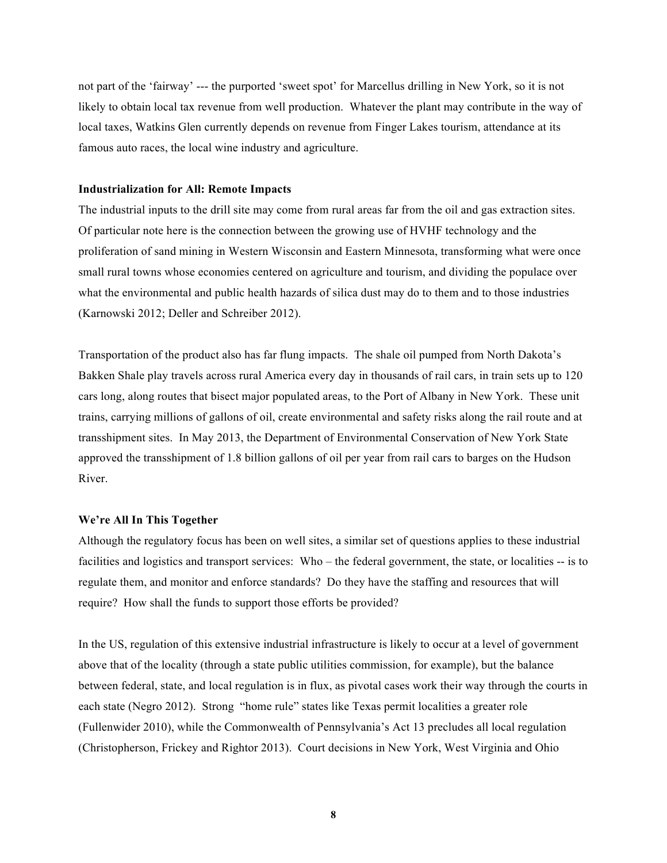not part of the 'fairway' --- the purported 'sweet spot' for Marcellus drilling in New York, so it is not likely to obtain local tax revenue from well production. Whatever the plant may contribute in the way of local taxes, Watkins Glen currently depends on revenue from Finger Lakes tourism, attendance at its famous auto races, the local wine industry and agriculture.

#### **Industrialization for All: Remote Impacts**

The industrial inputs to the drill site may come from rural areas far from the oil and gas extraction sites. Of particular note here is the connection between the growing use of HVHF technology and the proliferation of sand mining in Western Wisconsin and Eastern Minnesota, transforming what were once small rural towns whose economies centered on agriculture and tourism, and dividing the populace over what the environmental and public health hazards of silica dust may do to them and to those industries (Karnowski 2012; Deller and Schreiber 2012).

Transportation of the product also has far flung impacts. The shale oil pumped from North Dakota's Bakken Shale play travels across rural America every day in thousands of rail cars, in train sets up to 120 cars long, along routes that bisect major populated areas, to the Port of Albany in New York. These unit trains, carrying millions of gallons of oil, create environmental and safety risks along the rail route and at transshipment sites. In May 2013, the Department of Environmental Conservation of New York State approved the transshipment of 1.8 billion gallons of oil per year from rail cars to barges on the Hudson River.

#### **We're All In This Together**

Although the regulatory focus has been on well sites, a similar set of questions applies to these industrial facilities and logistics and transport services: Who – the federal government, the state, or localities -- is to regulate them, and monitor and enforce standards? Do they have the staffing and resources that will require? How shall the funds to support those efforts be provided?

In the US, regulation of this extensive industrial infrastructure is likely to occur at a level of government above that of the locality (through a state public utilities commission, for example), but the balance between federal, state, and local regulation is in flux, as pivotal cases work their way through the courts in each state (Negro 2012). Strong "home rule" states like Texas permit localities a greater role (Fullenwider 2010), while the Commonwealth of Pennsylvania's Act 13 precludes all local regulation (Christopherson, Frickey and Rightor 2013). Court decisions in New York, West Virginia and Ohio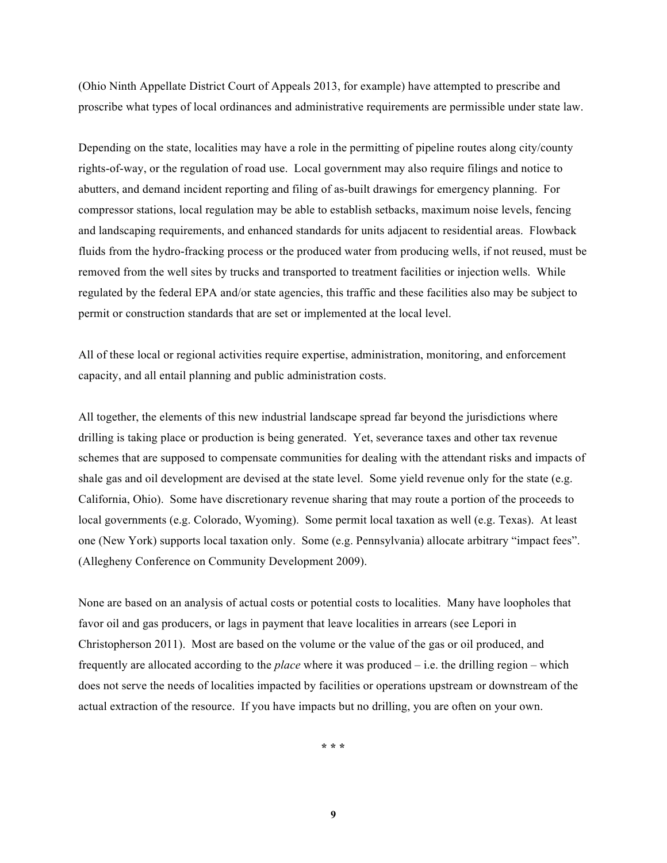(Ohio Ninth Appellate District Court of Appeals 2013, for example) have attempted to prescribe and proscribe what types of local ordinances and administrative requirements are permissible under state law.

Depending on the state, localities may have a role in the permitting of pipeline routes along city/county rights-of-way, or the regulation of road use. Local government may also require filings and notice to abutters, and demand incident reporting and filing of as-built drawings for emergency planning. For compressor stations, local regulation may be able to establish setbacks, maximum noise levels, fencing and landscaping requirements, and enhanced standards for units adjacent to residential areas. Flowback fluids from the hydro-fracking process or the produced water from producing wells, if not reused, must be removed from the well sites by trucks and transported to treatment facilities or injection wells. While regulated by the federal EPA and/or state agencies, this traffic and these facilities also may be subject to permit or construction standards that are set or implemented at the local level.

All of these local or regional activities require expertise, administration, monitoring, and enforcement capacity, and all entail planning and public administration costs.

All together, the elements of this new industrial landscape spread far beyond the jurisdictions where drilling is taking place or production is being generated. Yet, severance taxes and other tax revenue schemes that are supposed to compensate communities for dealing with the attendant risks and impacts of shale gas and oil development are devised at the state level. Some yield revenue only for the state (e.g. California, Ohio). Some have discretionary revenue sharing that may route a portion of the proceeds to local governments (e.g. Colorado, Wyoming). Some permit local taxation as well (e.g. Texas). At least one (New York) supports local taxation only. Some (e.g. Pennsylvania) allocate arbitrary "impact fees". (Allegheny Conference on Community Development 2009).

None are based on an analysis of actual costs or potential costs to localities. Many have loopholes that favor oil and gas producers, or lags in payment that leave localities in arrears (see Lepori in Christopherson 2011). Most are based on the volume or the value of the gas or oil produced, and frequently are allocated according to the *place* where it was produced – i.e. the drilling region – which does not serve the needs of localities impacted by facilities or operations upstream or downstream of the actual extraction of the resource. If you have impacts but no drilling, you are often on your own.

**\* \* \***

**9**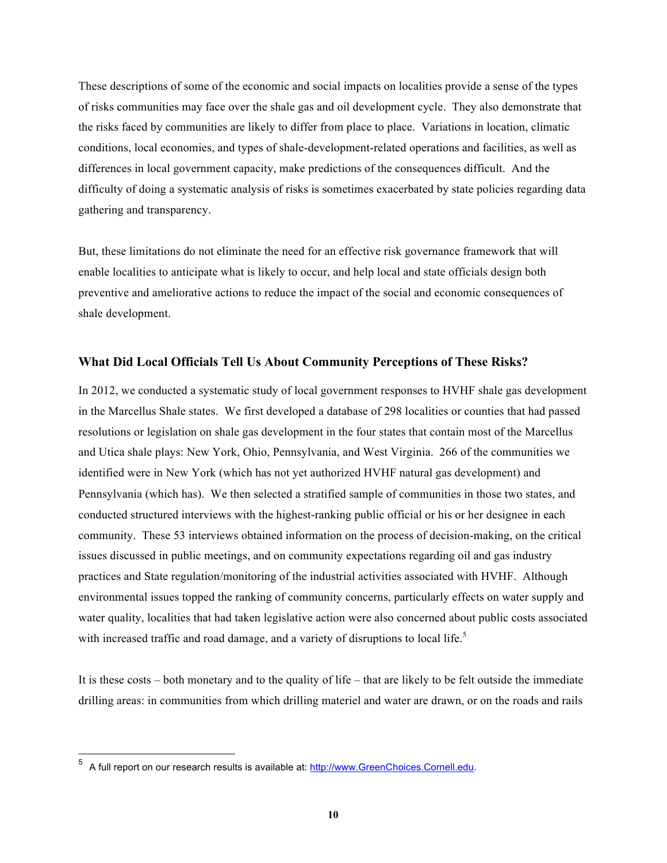These descriptions of some of the economic and social impacts on localities provide a sense of the types of risks communities may face over the shale gas and oil development cycle. They also demonstrate that the risks faced by communities are likely to differ from place to place. Variations in location, climatic conditions, local economies, and types of shale-development-related operations and facilities, as well as differences in local government capacity, make predictions of the consequences difficult. And the difficulty of doing a systematic analysis of risks is sometimes exacerbated by state policies regarding data gathering and transparency.

But, these limitations do not eliminate the need for an effective risk governance framework that will enable localities to anticipate what is likely to occur, and help local and state officials design both preventive and ameliorative actions to reduce the impact of the social and economic consequences of shale development.

### **What Did Local Officials Tell Us About Community Perceptions of These Risks?**

In 2012, we conducted a systematic study of local government responses to HVHF shale gas development in the Marcellus Shale states. We first developed a database of 298 localities or counties that had passed resolutions or legislation on shale gas development in the four states that contain most of the Marcellus and Utica shale plays: New York, Ohio, Pennsylvania, and West Virginia. 266 of the communities we identified were in New York (which has not yet authorized HVHF natural gas development) and Pennsylvania (which has). We then selected a stratified sample of communities in those two states, and conducted structured interviews with the highest-ranking public official or his or her designee in each community. These 53 interviews obtained information on the process of decision-making, on the critical issues discussed in public meetings, and on community expectations regarding oil and gas industry practices and State regulation/monitoring of the industrial activities associated with HVHF. Although environmental issues topped the ranking of community concerns, particularly effects on water supply and water quality, localities that had taken legislative action were also concerned about public costs associated with increased traffic and road damage, and a variety of disruptions to local life.<sup>5</sup>

It is these costs – both monetary and to the quality of life – that are likely to be felt outside the immediate drilling areas: in communities from which drilling materiel and water are drawn, or on the roads and rails

<sup>!!!!!!!!!!!!!!!!!!!!!!!!!!!!!!!!!!!!!!!!!!!!!!!!!!!!!!!</sup> <sup>5</sup> A full report on our research results is available at: http://www.GreenChoices.Cornell.edu.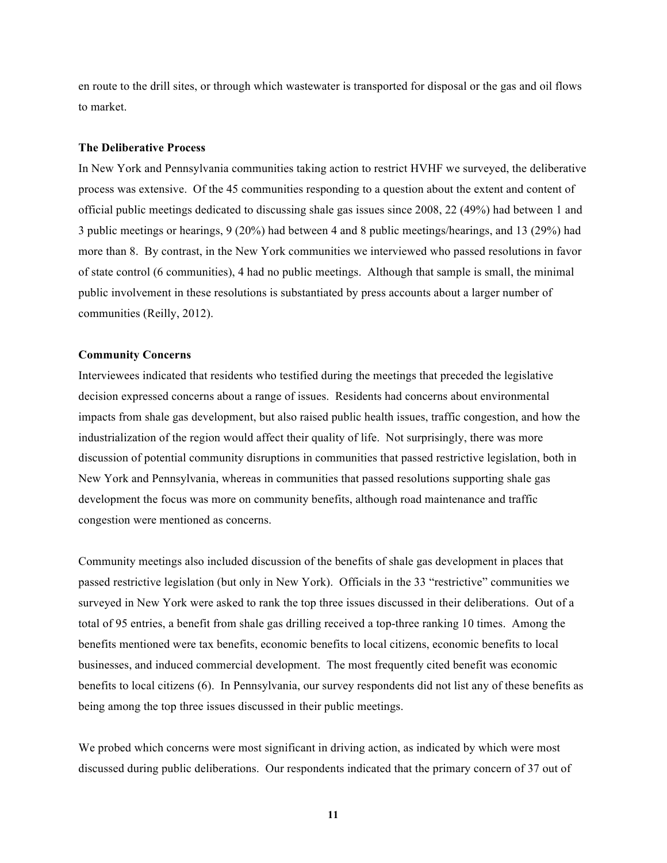en route to the drill sites, or through which wastewater is transported for disposal or the gas and oil flows to market.

#### **The Deliberative Process**

In New York and Pennsylvania communities taking action to restrict HVHF we surveyed, the deliberative process was extensive. Of the 45 communities responding to a question about the extent and content of official public meetings dedicated to discussing shale gas issues since 2008, 22 (49%) had between 1 and 3 public meetings or hearings, 9 (20%) had between 4 and 8 public meetings/hearings, and 13 (29%) had more than 8. By contrast, in the New York communities we interviewed who passed resolutions in favor of state control (6 communities), 4 had no public meetings. Although that sample is small, the minimal public involvement in these resolutions is substantiated by press accounts about a larger number of communities (Reilly, 2012).

#### **Community Concerns**

Interviewees indicated that residents who testified during the meetings that preceded the legislative decision expressed concerns about a range of issues. Residents had concerns about environmental impacts from shale gas development, but also raised public health issues, traffic congestion, and how the industrialization of the region would affect their quality of life. Not surprisingly, there was more discussion of potential community disruptions in communities that passed restrictive legislation, both in New York and Pennsylvania, whereas in communities that passed resolutions supporting shale gas development the focus was more on community benefits, although road maintenance and traffic congestion were mentioned as concerns.

Community meetings also included discussion of the benefits of shale gas development in places that passed restrictive legislation (but only in New York). Officials in the 33 "restrictive" communities we surveyed in New York were asked to rank the top three issues discussed in their deliberations. Out of a total of 95 entries, a benefit from shale gas drilling received a top-three ranking 10 times. Among the benefits mentioned were tax benefits, economic benefits to local citizens, economic benefits to local businesses, and induced commercial development. The most frequently cited benefit was economic benefits to local citizens (6). In Pennsylvania, our survey respondents did not list any of these benefits as being among the top three issues discussed in their public meetings.

We probed which concerns were most significant in driving action, as indicated by which were most discussed during public deliberations. Our respondents indicated that the primary concern of 37 out of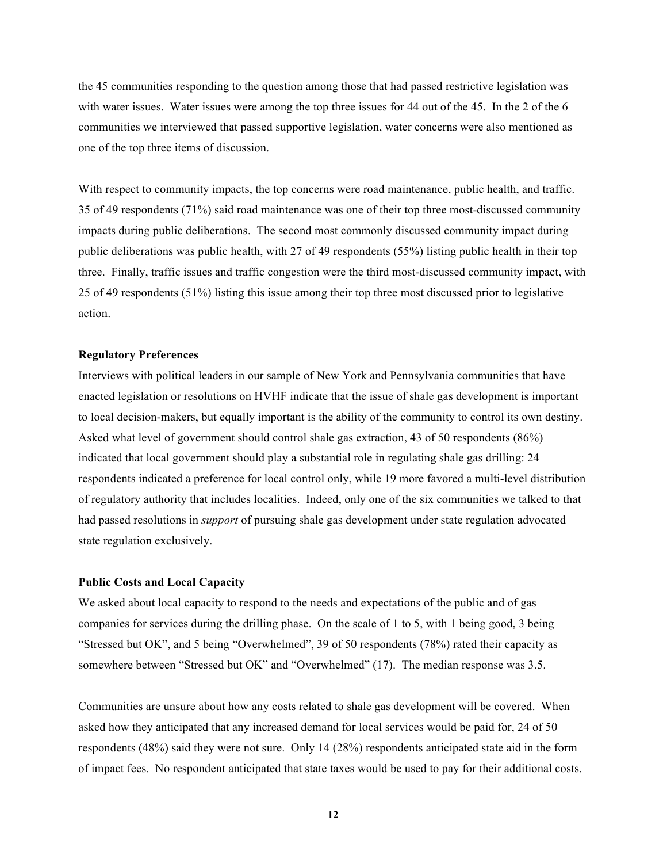the 45 communities responding to the question among those that had passed restrictive legislation was with water issues. Water issues were among the top three issues for 44 out of the 45. In the 2 of the 6 communities we interviewed that passed supportive legislation, water concerns were also mentioned as one of the top three items of discussion.

With respect to community impacts, the top concerns were road maintenance, public health, and traffic. 35 of 49 respondents (71%) said road maintenance was one of their top three most-discussed community impacts during public deliberations. The second most commonly discussed community impact during public deliberations was public health, with 27 of 49 respondents (55%) listing public health in their top three. Finally, traffic issues and traffic congestion were the third most-discussed community impact, with 25 of 49 respondents (51%) listing this issue among their top three most discussed prior to legislative action.

#### **Regulatory Preferences**

Interviews with political leaders in our sample of New York and Pennsylvania communities that have enacted legislation or resolutions on HVHF indicate that the issue of shale gas development is important to local decision-makers, but equally important is the ability of the community to control its own destiny. Asked what level of government should control shale gas extraction, 43 of 50 respondents (86%) indicated that local government should play a substantial role in regulating shale gas drilling: 24 respondents indicated a preference for local control only, while 19 more favored a multi-level distribution of regulatory authority that includes localities. Indeed, only one of the six communities we talked to that had passed resolutions in *support* of pursuing shale gas development under state regulation advocated state regulation exclusively.

#### **Public Costs and Local Capacity**

We asked about local capacity to respond to the needs and expectations of the public and of gas companies for services during the drilling phase. On the scale of 1 to 5, with 1 being good, 3 being "Stressed but OK", and 5 being "Overwhelmed", 39 of 50 respondents (78%) rated their capacity as somewhere between "Stressed but OK" and "Overwhelmed" (17). The median response was 3.5.

Communities are unsure about how any costs related to shale gas development will be covered. When asked how they anticipated that any increased demand for local services would be paid for, 24 of 50 respondents (48%) said they were not sure. Only 14 (28%) respondents anticipated state aid in the form of impact fees. No respondent anticipated that state taxes would be used to pay for their additional costs.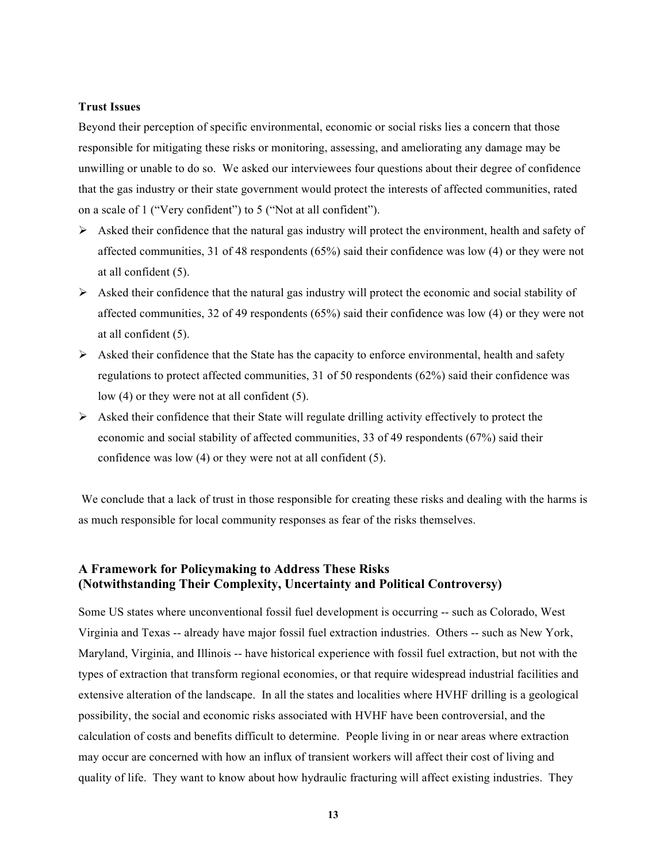#### **Trust Issues**

Beyond their perception of specific environmental, economic or social risks lies a concern that those responsible for mitigating these risks or monitoring, assessing, and ameliorating any damage may be unwilling or unable to do so. We asked our interviewees four questions about their degree of confidence that the gas industry or their state government would protect the interests of affected communities, rated on a scale of 1 ("Very confident") to 5 ("Not at all confident").

- $\triangleright$  Asked their confidence that the natural gas industry will protect the environment, health and safety of affected communities, 31 of 48 respondents (65%) said their confidence was low (4) or they were not at all confident (5).
- $\triangleright$  Asked their confidence that the natural gas industry will protect the economic and social stability of affected communities, 32 of 49 respondents (65%) said their confidence was low (4) or they were not at all confident (5).
- $\triangleright$  Asked their confidence that the State has the capacity to enforce environmental, health and safety regulations to protect affected communities, 31 of 50 respondents (62%) said their confidence was low (4) or they were not at all confident (5).
- $\triangleright$  Asked their confidence that their State will regulate drilling activity effectively to protect the economic and social stability of affected communities, 33 of 49 respondents (67%) said their confidence was low (4) or they were not at all confident (5).

We conclude that a lack of trust in those responsible for creating these risks and dealing with the harms is as much responsible for local community responses as fear of the risks themselves.

## **A Framework for Policymaking to Address These Risks (Notwithstanding Their Complexity, Uncertainty and Political Controversy)**

Some US states where unconventional fossil fuel development is occurring -- such as Colorado, West Virginia and Texas -- already have major fossil fuel extraction industries. Others -- such as New York, Maryland, Virginia, and Illinois -- have historical experience with fossil fuel extraction, but not with the types of extraction that transform regional economies, or that require widespread industrial facilities and extensive alteration of the landscape. In all the states and localities where HVHF drilling is a geological possibility, the social and economic risks associated with HVHF have been controversial, and the calculation of costs and benefits difficult to determine. People living in or near areas where extraction may occur are concerned with how an influx of transient workers will affect their cost of living and quality of life. They want to know about how hydraulic fracturing will affect existing industries. They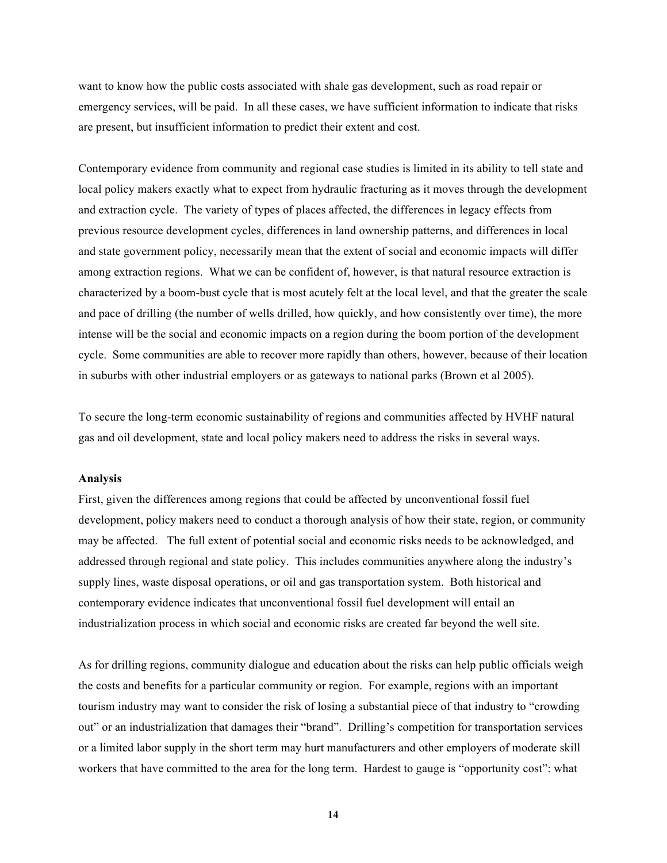want to know how the public costs associated with shale gas development, such as road repair or emergency services, will be paid. In all these cases, we have sufficient information to indicate that risks are present, but insufficient information to predict their extent and cost.

Contemporary evidence from community and regional case studies is limited in its ability to tell state and local policy makers exactly what to expect from hydraulic fracturing as it moves through the development and extraction cycle. The variety of types of places affected, the differences in legacy effects from previous resource development cycles, differences in land ownership patterns, and differences in local and state government policy, necessarily mean that the extent of social and economic impacts will differ among extraction regions. What we can be confident of, however, is that natural resource extraction is characterized by a boom-bust cycle that is most acutely felt at the local level, and that the greater the scale and pace of drilling (the number of wells drilled, how quickly, and how consistently over time), the more intense will be the social and economic impacts on a region during the boom portion of the development cycle. Some communities are able to recover more rapidly than others, however, because of their location in suburbs with other industrial employers or as gateways to national parks (Brown et al 2005).

To secure the long-term economic sustainability of regions and communities affected by HVHF natural gas and oil development, state and local policy makers need to address the risks in several ways.

#### **Analysis**

First, given the differences among regions that could be affected by unconventional fossil fuel development, policy makers need to conduct a thorough analysis of how their state, region, or community may be affected. The full extent of potential social and economic risks needs to be acknowledged, and addressed through regional and state policy. This includes communities anywhere along the industry's supply lines, waste disposal operations, or oil and gas transportation system. Both historical and contemporary evidence indicates that unconventional fossil fuel development will entail an industrialization process in which social and economic risks are created far beyond the well site.

As for drilling regions, community dialogue and education about the risks can help public officials weigh the costs and benefits for a particular community or region. For example, regions with an important tourism industry may want to consider the risk of losing a substantial piece of that industry to "crowding out" or an industrialization that damages their "brand". Drilling's competition for transportation services or a limited labor supply in the short term may hurt manufacturers and other employers of moderate skill workers that have committed to the area for the long term. Hardest to gauge is "opportunity cost": what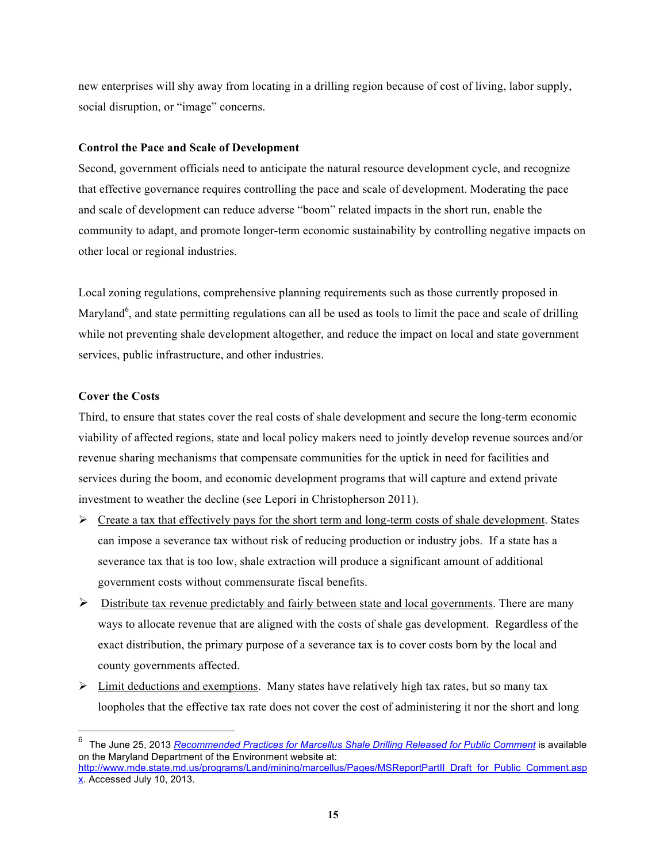new enterprises will shy away from locating in a drilling region because of cost of living, labor supply, social disruption, or "image" concerns.

### **Control the Pace and Scale of Development**

Second, government officials need to anticipate the natural resource development cycle, and recognize that effective governance requires controlling the pace and scale of development. Moderating the pace and scale of development can reduce adverse "boom" related impacts in the short run, enable the community to adapt, and promote longer-term economic sustainability by controlling negative impacts on other local or regional industries.

Local zoning regulations, comprehensive planning requirements such as those currently proposed in Maryland<sup>6</sup>, and state permitting regulations can all be used as tools to limit the pace and scale of drilling while not preventing shale development altogether, and reduce the impact on local and state government services, public infrastructure, and other industries.

## **Cover the Costs**

Third, to ensure that states cover the real costs of shale development and secure the long-term economic viability of affected regions, state and local policy makers need to jointly develop revenue sources and/or revenue sharing mechanisms that compensate communities for the uptick in need for facilities and services during the boom, and economic development programs that will capture and extend private investment to weather the decline (see Lepori in Christopherson 2011).

- $\triangleright$  Create a tax that effectively pays for the short term and long-term costs of shale development. States can impose a severance tax without risk of reducing production or industry jobs. If a state has a severance tax that is too low, shale extraction will produce a significant amount of additional government costs without commensurate fiscal benefits.
- $\triangleright$  Distribute tax revenue predictably and fairly between state and local governments. There are many ways to allocate revenue that are aligned with the costs of shale gas development. Regardless of the exact distribution, the primary purpose of a severance tax is to cover costs born by the local and county governments affected.
- $\triangleright$  Limit deductions and exemptions. Many states have relatively high tax rates, but so many tax loopholes that the effective tax rate does not cover the cost of administering it nor the short and long

enterprished the June 25, 2013 *Recommended Practices for Marcellus Shale Drilling Released for Public Comment* is available<br><sup>6</sup> The June 25, 2013 *Recommended Practices for Marcellus Shale Drilling Released for Public C* on the Maryland Department of the Environment website at:

http://www.mde.state.md.us/programs/Land/mining/marcellus/Pages/MSReportPartII\_Draft\_for\_Public\_Comment.asp x. Accessed July 10, 2013.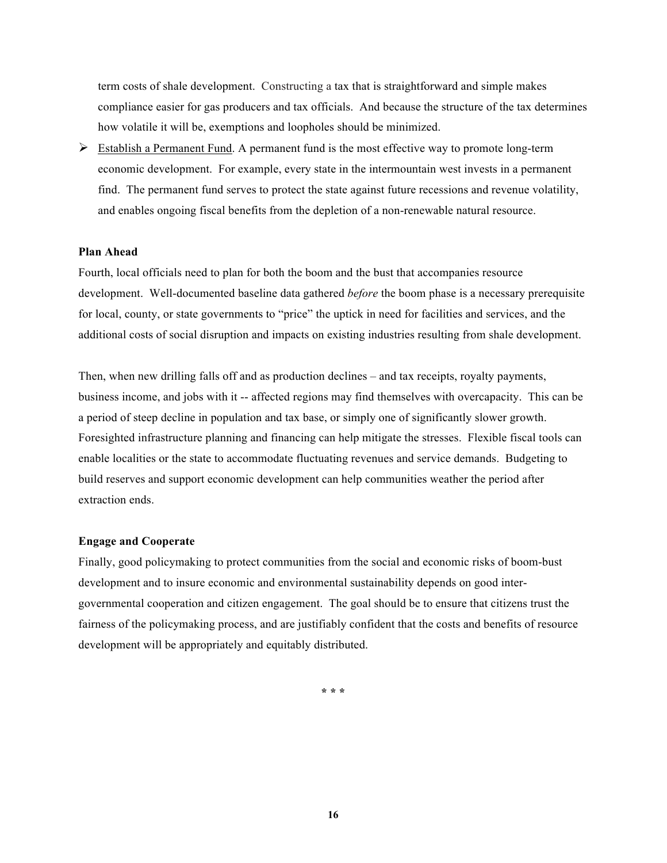term costs of shale development. Constructing a tax that is straightforward and simple makes compliance easier for gas producers and tax officials. And because the structure of the tax determines how volatile it will be, exemptions and loopholes should be minimized.

 $\triangleright$  Establish a Permanent Fund. A permanent fund is the most effective way to promote long-term economic development. For example, every state in the intermountain west invests in a permanent find. The permanent fund serves to protect the state against future recessions and revenue volatility, and enables ongoing fiscal benefits from the depletion of a non-renewable natural resource.

## **Plan Ahead**

Fourth, local officials need to plan for both the boom and the bust that accompanies resource development. Well-documented baseline data gathered *before* the boom phase is a necessary prerequisite for local, county, or state governments to "price" the uptick in need for facilities and services, and the additional costs of social disruption and impacts on existing industries resulting from shale development.

Then, when new drilling falls off and as production declines – and tax receipts, royalty payments, business income, and jobs with it -- affected regions may find themselves with overcapacity. This can be a period of steep decline in population and tax base, or simply one of significantly slower growth. Foresighted infrastructure planning and financing can help mitigate the stresses. Flexible fiscal tools can enable localities or the state to accommodate fluctuating revenues and service demands. Budgeting to build reserves and support economic development can help communities weather the period after extraction ends.

#### **Engage and Cooperate**

Finally, good policymaking to protect communities from the social and economic risks of boom-bust development and to insure economic and environmental sustainability depends on good intergovernmental cooperation and citizen engagement. The goal should be to ensure that citizens trust the fairness of the policymaking process, and are justifiably confident that the costs and benefits of resource development will be appropriately and equitably distributed.

**\* \* \***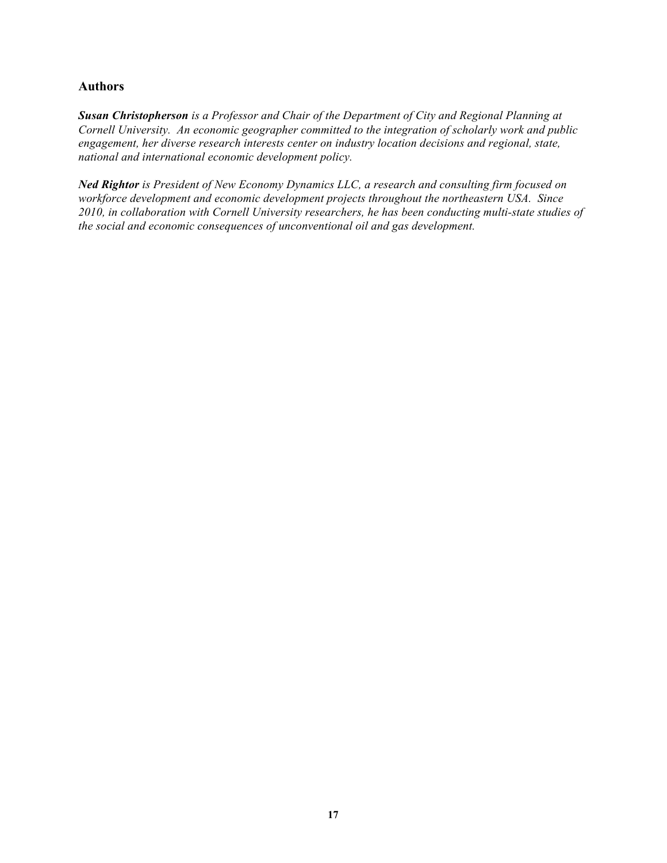## **Authors**

*Susan Christopherson is a Professor and Chair of the Department of City and Regional Planning at Cornell University. An economic geographer committed to the integration of scholarly work and public engagement, her diverse research interests center on industry location decisions and regional, state, national and international economic development policy.*

*Ned Rightor is President of New Economy Dynamics LLC, a research and consulting firm focused on workforce development and economic development projects throughout the northeastern USA. Since 2010, in collaboration with Cornell University researchers, he has been conducting multi-state studies of the social and economic consequences of unconventional oil and gas development.*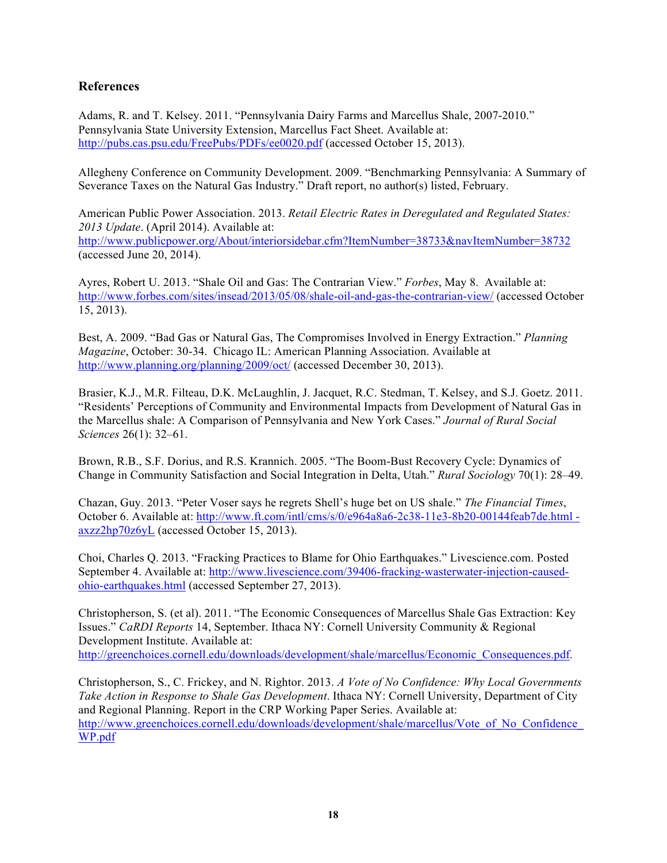## **References**

Adams, R. and T. Kelsey. 2011. "Pennsylvania Dairy Farms and Marcellus Shale, 2007-2010." Pennsylvania State University Extension, Marcellus Fact Sheet. Available at: http://pubs.cas.psu.edu/FreePubs/PDFs/ee0020.pdf (accessed October 15, 2013).

Allegheny Conference on Community Development. 2009. "Benchmarking Pennsylvania: A Summary of Severance Taxes on the Natural Gas Industry." Draft report, no author(s) listed, February.

American Public Power Association. 2013. *Retail Electric Rates in Deregulated and Regulated States: 2013 Update*. (April 2014). Available at: http://www.publicpower.org/About/interiorsidebar.cfm?ItemNumber=38733&navItemNumber=38732 (accessed June 20, 2014).

Ayres, Robert U. 2013. "Shale Oil and Gas: The Contrarian View." *Forbes*, May 8. Available at: http://www.forbes.com/sites/insead/2013/05/08/shale-oil-and-gas-the-contrarian-view/ (accessed October 15, 2013).

Best, A. 2009. "Bad Gas or Natural Gas, The Compromises Involved in Energy Extraction." *Planning Magazine*, October: 30-34. Chicago IL: American Planning Association. Available at http://www.planning.org/planning/2009/oct/ (accessed December 30, 2013).

Brasier, K.J., M.R. Filteau, D.K. McLaughlin, J. Jacquet, R.C. Stedman, T. Kelsey, and S.J. Goetz. 2011. "Residents' Perceptions of Community and Environmental Impacts from Development of Natural Gas in the Marcellus shale: A Comparison of Pennsylvania and New York Cases." *Journal of Rural Social Sciences* 26(1): 32–61.

Brown, R.B., S.F. Dorius, and R.S. Krannich. 2005. "The Boom-Bust Recovery Cycle: Dynamics of Change in Community Satisfaction and Social Integration in Delta, Utah." *Rural Sociology* 70(1): 28–49.

Chazan, Guy. 2013. "Peter Voser says he regrets Shell's huge bet on US shale." *The Financial Times*, October 6. Available at: http://www.ft.com/intl/cms/s/0/e964a8a6-2c38-11e3-8b20-00144feab7de.html axzz2hp70z6yL (accessed October 15, 2013).

Choi, Charles Q. 2013. "Fracking Practices to Blame for Ohio Earthquakes." Livescience.com. Posted September 4. Available at: http://www.livescience.com/39406-fracking-wasterwater-injection-causedohio-earthquakes.html (accessed September 27, 2013).

Christopherson, S. (et al). 2011. "The Economic Consequences of Marcellus Shale Gas Extraction: Key Issues." *CaRDI Reports* 14, September. Ithaca NY: Cornell University Community & Regional Development Institute. Available at: http://greenchoices.cornell.edu/downloads/development/shale/marcellus/Economic\_Consequences.pdf.

Christopherson, S., C. Frickey, and N. Rightor. 2013. *A Vote of No Confidence: Why Local Governments Take Action in Response to Shale Gas Development*. Ithaca NY: Cornell University, Department of City and Regional Planning. Report in the CRP Working Paper Series. Available at: http://www.greenchoices.cornell.edu/downloads/development/shale/marcellus/Vote\_of\_No\_Confidence WP.pdf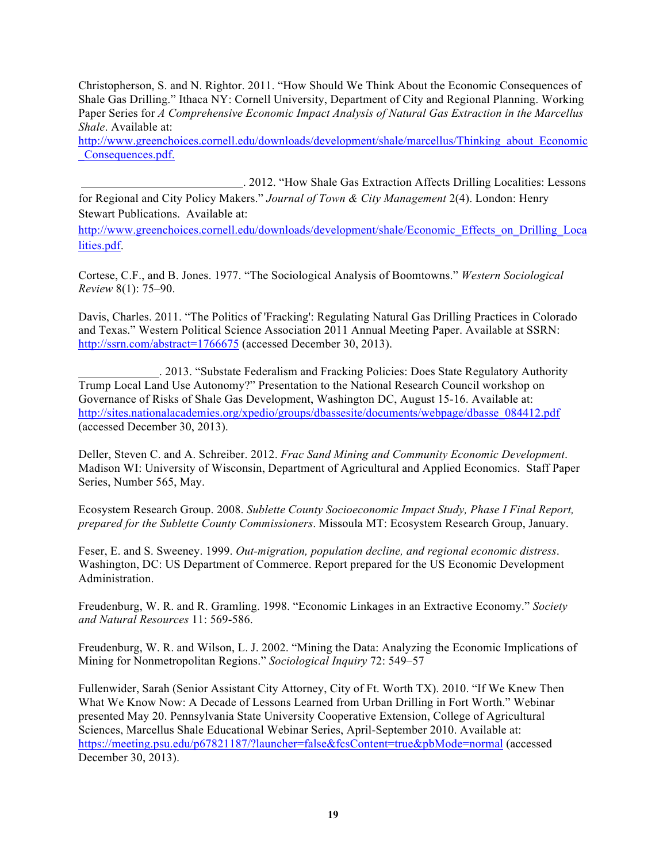Christopherson, S. and N. Rightor. 2011. "How Should We Think About the Economic Consequences of Shale Gas Drilling." Ithaca NY: Cornell University, Department of City and Regional Planning. Working Paper Series for *A Comprehensive Economic Impact Analysis of Natural Gas Extraction in the Marcellus Shale*. Available at:

http://www.greenchoices.cornell.edu/downloads/development/shale/marcellus/Thinking\_about\_Economic \_Consequences.pdf.

 . 2012. "How Shale Gas Extraction Affects Drilling Localities: Lessons for Regional and City Policy Makers." *Journal of Town & City Management* 2(4). London: Henry

Stewart Publications. Available at:

http://www.greenchoices.cornell.edu/downloads/development/shale/Economic Effects on Drilling Loca lities.pdf.

Cortese, C.F., and B. Jones. 1977. "The Sociological Analysis of Boomtowns." *Western Sociological Review* 8(1): 75–90.

Davis, Charles. 2011. "The Politics of 'Fracking': Regulating Natural Gas Drilling Practices in Colorado and Texas." Western Political Science Association 2011 Annual Meeting Paper. Available at SSRN: http://ssrn.com/abstract=1766675 (accessed December 30, 2013).

 . 2013. "Substate Federalism and Fracking Policies: Does State Regulatory Authority Trump Local Land Use Autonomy?" Presentation to the National Research Council workshop on Governance of Risks of Shale Gas Development, Washington DC, August 15-16. Available at: http://sites.nationalacademies.org/xpedio/groups/dbassesite/documents/webpage/dbasse\_084412.pdf (accessed December 30, 2013).

Deller, Steven C. and A. Schreiber. 2012. *Frac Sand Mining and Community Economic Development*. Madison WI: University of Wisconsin, Department of Agricultural and Applied Economics. Staff Paper Series, Number 565, May.

Ecosystem Research Group. 2008. *Sublette County Socioeconomic Impact Study, Phase I Final Report, prepared for the Sublette County Commissioners*. Missoula MT: Ecosystem Research Group, January.

Feser, E. and S. Sweeney. 1999. *Out-migration, population decline, and regional economic distress*. Washington, DC: US Department of Commerce. Report prepared for the US Economic Development Administration.

Freudenburg, W. R. and R. Gramling. 1998. "Economic Linkages in an Extractive Economy." *Society and Natural Resources* 11: 569-586.

Freudenburg, W. R. and Wilson, L. J. 2002. "Mining the Data: Analyzing the Economic Implications of Mining for Nonmetropolitan Regions." *Sociological Inquiry* 72: 549–57

Fullenwider, Sarah (Senior Assistant City Attorney, City of Ft. Worth TX). 2010. "If We Knew Then What We Know Now: A Decade of Lessons Learned from Urban Drilling in Fort Worth." Webinar presented May 20. Pennsylvania State University Cooperative Extension, College of Agricultural Sciences, Marcellus Shale Educational Webinar Series, April-September 2010. Available at: https://meeting.psu.edu/p67821187/?launcher=false&fcsContent=true&pbMode=normal (accessed December 30, 2013).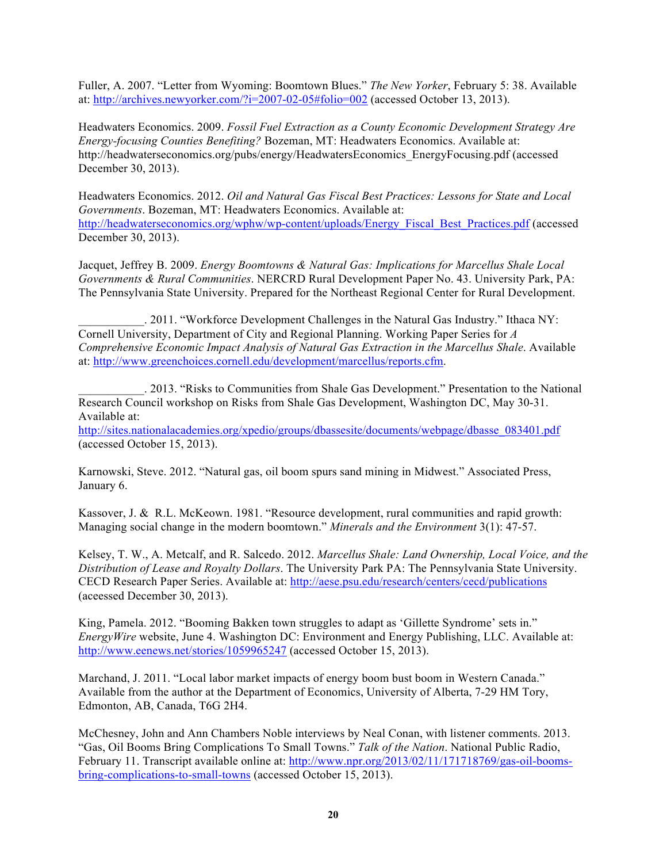Fuller, A. 2007. "Letter from Wyoming: Boomtown Blues." *The New Yorker*, February 5: 38. Available at: http://archives.newyorker.com/?i=2007-02-05#folio=002 (accessed October 13, 2013).

Headwaters Economics. 2009. *Fossil Fuel Extraction as a County Economic Development Strategy Are Energy-focusing Counties Benefiting?* Bozeman, MT: Headwaters Economics. Available at: http://headwaterseconomics.org/pubs/energy/HeadwatersEconomics\_EnergyFocusing.pdf (accessed December 30, 2013).

Headwaters Economics. 2012. *Oil and Natural Gas Fiscal Best Practices: Lessons for State and Local Governments*. Bozeman, MT: Headwaters Economics. Available at: http://headwaterseconomics.org/wphw/wp-content/uploads/Energy\_Fiscal\_Best\_Practices.pdf (accessed December 30, 2013).

Jacquet, Jeffrey B. 2009. *Energy Boomtowns & Natural Gas: Implications for Marcellus Shale Local Governments & Rural Communities*. NERCRD Rural Development Paper No. 43. University Park, PA: The Pennsylvania State University. Prepared for the Northeast Regional Center for Rural Development.

\_\_\_\_\_\_\_\_\_\_\_. 2011. "Workforce Development Challenges in the Natural Gas Industry." Ithaca NY: Cornell University, Department of City and Regional Planning. Working Paper Series for *A Comprehensive Economic Impact Analysis of Natural Gas Extraction in the Marcellus Shale*. Available at: http://www.greenchoices.cornell.edu/development/marcellus/reports.cfm.

\_\_\_\_\_\_\_\_\_\_\_. 2013. "Risks to Communities from Shale Gas Development." Presentation to the National Research Council workshop on Risks from Shale Gas Development, Washington DC, May 30-31. Available at:

http://sites.nationalacademies.org/xpedio/groups/dbassesite/documents/webpage/dbasse\_083401.pdf (accessed October 15, 2013).

Karnowski, Steve. 2012. "Natural gas, oil boom spurs sand mining in Midwest." Associated Press, January 6.

Kassover, J. & R.L. McKeown. 1981. "Resource development, rural communities and rapid growth: Managing social change in the modern boomtown." *Minerals and the Environment* 3(1): 47-57.

Kelsey, T. W., A. Metcalf, and R. Salcedo. 2012. *Marcellus Shale: Land Ownership, Local Voice, and the Distribution of Lease and Royalty Dollars*. The University Park PA: The Pennsylvania State University. CECD Research Paper Series. Available at: http://aese.psu.edu/research/centers/cecd/publications (aceessed December 30, 2013).

King, Pamela. 2012. "Booming Bakken town struggles to adapt as 'Gillette Syndrome' sets in." *EnergyWire* website, June 4. Washington DC: Environment and Energy Publishing, LLC. Available at: http://www.eenews.net/stories/1059965247 (accessed October 15, 2013).

Marchand, J. 2011. "Local labor market impacts of energy boom bust boom in Western Canada." Available from the author at the Department of Economics, University of Alberta, 7-29 HM Tory, Edmonton, AB, Canada, T6G 2H4.

McChesney, John and Ann Chambers Noble interviews by Neal Conan, with listener comments. 2013. "Gas, Oil Booms Bring Complications To Small Towns." *Talk of the Nation*. National Public Radio, February 11. Transcript available online at: http://www.npr.org/2013/02/11/171718769/gas-oil-boomsbring-complications-to-small-towns (accessed October 15, 2013).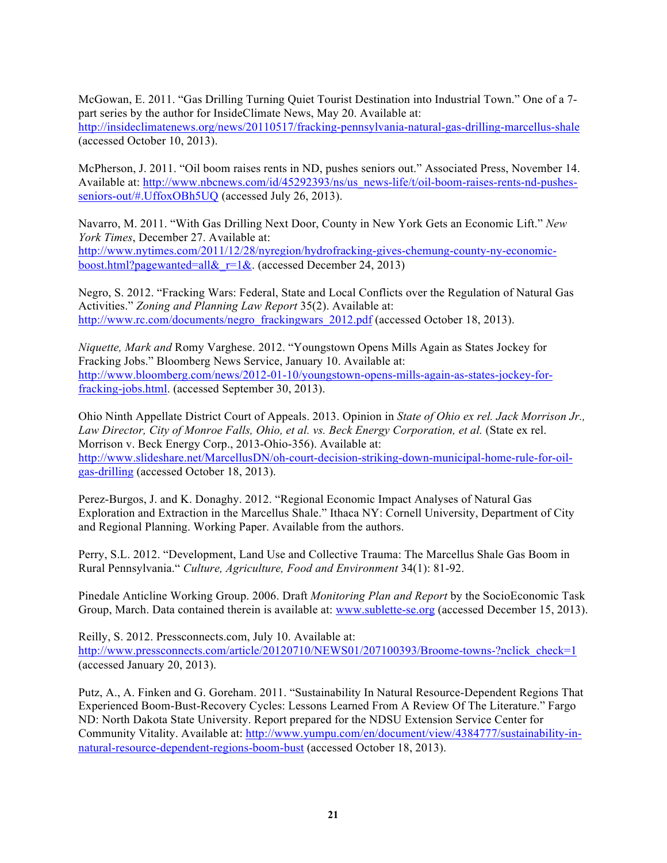McGowan, E. 2011. "Gas Drilling Turning Quiet Tourist Destination into Industrial Town." One of a 7 part series by the author for InsideClimate News, May 20. Available at: http://insideclimatenews.org/news/20110517/fracking-pennsylvania-natural-gas-drilling-marcellus-shale (accessed October 10, 2013).

McPherson, J. 2011. "Oil boom raises rents in ND, pushes seniors out." Associated Press, November 14. Available at: http://www.nbcnews.com/id/45292393/ns/us\_news-life/t/oil-boom-raises-rents-nd-pushesseniors-out/#.UffoxOBh5UQ (accessed July 26, 2013).

Navarro, M. 2011. "With Gas Drilling Next Door, County in New York Gets an Economic Lift." *New York Times*, December 27. Available at: http://www.nytimes.com/2011/12/28/nyregion/hydrofracking-gives-chemung-county-ny-economicboost.html?pagewanted=all& $r=1$ &. (accessed December 24, 2013)

Negro, S. 2012. "Fracking Wars: Federal, State and Local Conflicts over the Regulation of Natural Gas Activities." *Zoning and Planning Law Report* 35(2). Available at: http://www.rc.com/documents/negro\_frackingwars\_2012.pdf (accessed October 18, 2013).

*Niquette, Mark and* Romy Varghese. 2012. "Youngstown Opens Mills Again as States Jockey for Fracking Jobs." Bloomberg News Service, January 10. Available at: http://www.bloomberg.com/news/2012-01-10/youngstown-opens-mills-again-as-states-jockey-forfracking-jobs.html. (accessed September 30, 2013).

Ohio Ninth Appellate District Court of Appeals. 2013. Opinion in *State of Ohio ex rel. Jack Morrison Jr., Law Director, City of Monroe Falls, Ohio, et al. vs. Beck Energy Corporation, et al.* (State ex rel. Morrison v. Beck Energy Corp., 2013-Ohio-356). Available at: http://www.slideshare.net/MarcellusDN/oh-court-decision-striking-down-municipal-home-rule-for-oilgas-drilling (accessed October 18, 2013).

Perez-Burgos, J. and K. Donaghy. 2012. "Regional Economic Impact Analyses of Natural Gas Exploration and Extraction in the Marcellus Shale." Ithaca NY: Cornell University, Department of City and Regional Planning. Working Paper. Available from the authors.

Perry, S.L. 2012. "Development, Land Use and Collective Trauma: The Marcellus Shale Gas Boom in Rural Pennsylvania." *Culture, Agriculture, Food and Environment* 34(1): 81-92.

Pinedale Anticline Working Group. 2006. Draft *Monitoring Plan and Report* by the SocioEconomic Task Group, March. Data contained therein is available at: www.sublette-se.org (accessed December 15, 2013).

Reilly, S. 2012. Pressconnects.com, July 10. Available at: http://www.pressconnects.com/article/20120710/NEWS01/207100393/Broome-towns-?nclick\_check=1 (accessed January 20, 2013).

Putz, A., A. Finken and G. Goreham. 2011. "Sustainability In Natural Resource-Dependent Regions That Experienced Boom-Bust-Recovery Cycles: Lessons Learned From A Review Of The Literature." Fargo ND: North Dakota State University. Report prepared for the NDSU Extension Service Center for Community Vitality. Available at: http://www.yumpu.com/en/document/view/4384777/sustainability-innatural-resource-dependent-regions-boom-bust (accessed October 18, 2013).